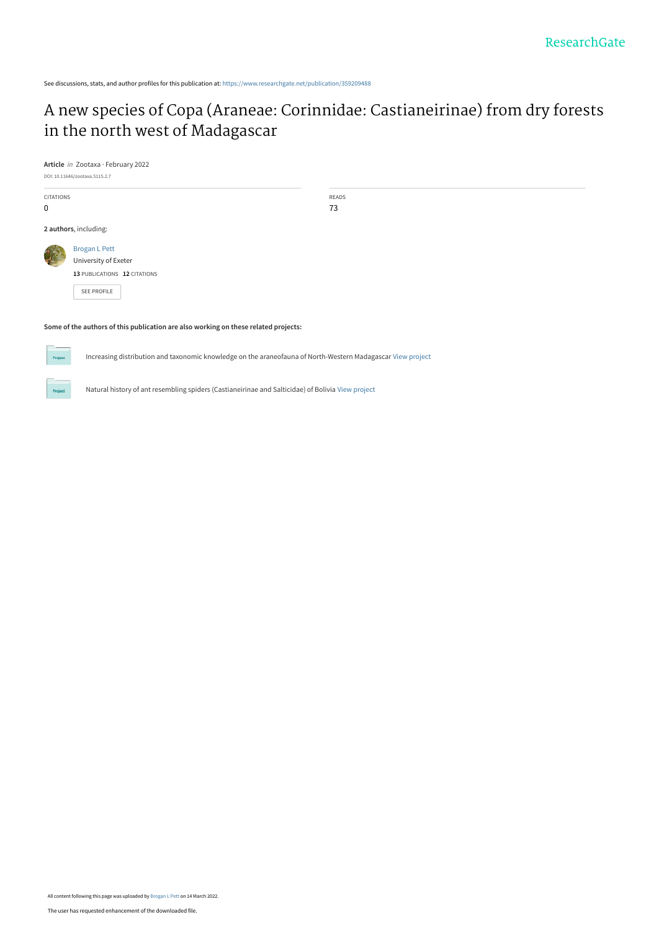See discussions, stats, and author profiles for this publication at: [https://www.researchgate.net/publication/359209488](https://www.researchgate.net/publication/359209488_A_new_species_of_Copa_Araneae_Corinnidae_Castianeirinae_from_dry_forests_in_the_north_west_of_Madagascar?enrichId=rgreq-ba480606e7fd2391857d9434d729585f-XXX&enrichSource=Y292ZXJQYWdlOzM1OTIwOTQ4ODtBUzoxMTMzNDU3NjE0ODY0Mzg0QDE2NDcyNDg3NjI3Mzc%3D&el=1_x_2&_esc=publicationCoverPdf)

# [A new species of Copa \(Araneae: Corinnidae: Castianeirinae\) from dry forests](https://www.researchgate.net/publication/359209488_A_new_species_of_Copa_Araneae_Corinnidae_Castianeirinae_from_dry_forests_in_the_north_west_of_Madagascar?enrichId=rgreq-ba480606e7fd2391857d9434d729585f-XXX&enrichSource=Y292ZXJQYWdlOzM1OTIwOTQ4ODtBUzoxMTMzNDU3NjE0ODY0Mzg0QDE2NDcyNDg3NjI3Mzc%3D&el=1_x_3&_esc=publicationCoverPdf) in the north west of Madagascar

**Article** in Zootaxa · February 2022



#### **Some of the authors of this publication are also working on these related projects:**

Increasing distribution and taxonomic knowledge on the araneofauna of North-Western Madagascar [View project](https://www.researchgate.net/project/Increasing-distribution-and-taxonomic-knowledge-on-the-araneofauna-of-North-Western-Madagascar?enrichId=rgreq-ba480606e7fd2391857d9434d729585f-XXX&enrichSource=Y292ZXJQYWdlOzM1OTIwOTQ4ODtBUzoxMTMzNDU3NjE0ODY0Mzg0QDE2NDcyNDg3NjI3Mzc%3D&el=1_x_9&_esc=publicationCoverPdf)

Natural history of ant resembling spiders (Castianeirinae and Salticidae) of Bolivia [View project](https://www.researchgate.net/project/Natural-history-of-ant-resembling-spiders-Castianeirinae-and-Salticidae-of-Bolivia?enrichId=rgreq-ba480606e7fd2391857d9434d729585f-XXX&enrichSource=Y292ZXJQYWdlOzM1OTIwOTQ4ODtBUzoxMTMzNDU3NjE0ODY0Mzg0QDE2NDcyNDg3NjI3Mzc%3D&el=1_x_9&_esc=publicationCoverPdf)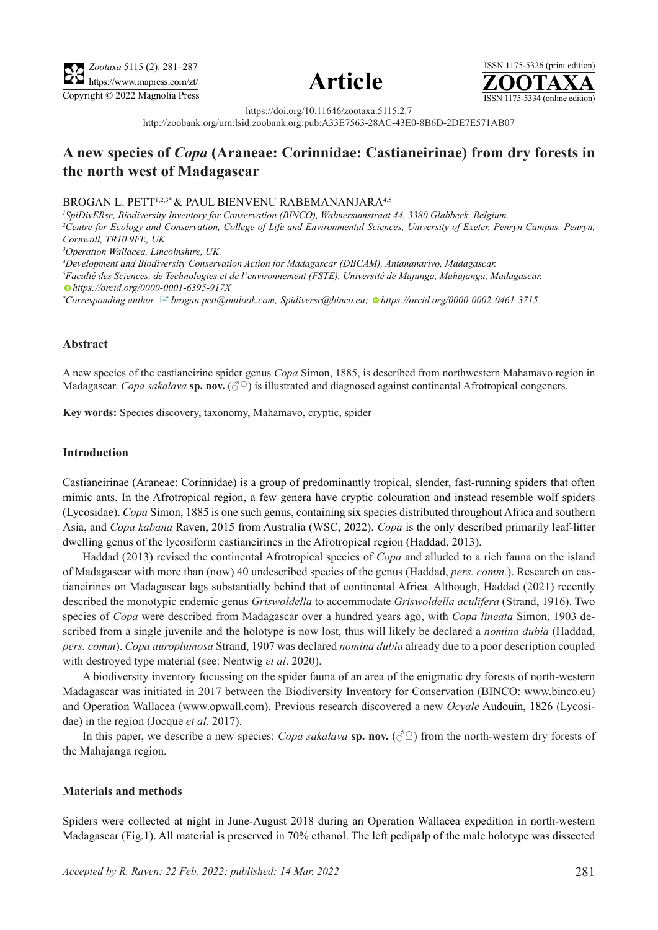





https://doi.org/10.11646/zootaxa.5115.2.7

http://zoobank.org/urn:lsid:zoobank.org:pub:A33E7563-28AC-43E0-8B6D-2DE7E571AB07

# **A new species of** *Copa* **(Araneae: Corinnidae: Castianeirinae) from dry forests in the north west of Madagascar**

#### BROGAN L. PETT<sup>1,2,3\*</sup> & PAUL BIENVENU RABEMANANJARA<sup>4,5</sup>

*1 SpiDivERse, Biodiversity Inventory for Conservation (BINCO), Walmersumstraat 44, 3380 Glabbeek, Belgium. 2 Centre for Ecology and Conservation, College of Life and Environmental Sciences, University of Exeter, Penryn Campus, Penryn, Cornwall, TR10 9FE, UK.*

*3 Operation Wallacea, Lincolnshire, UK.*

*4 Development and Biodiversity Conservation Action for Madagascar (DBCAM), Antananarivo, Madagascar.*

*5 Faculté des Sciences, de Technologies et de l'environnement (FSTE), Université de Majunga, Mahajanga, Madagascar. https://orcid.org/0000-0001-6395-917X*

*\* Corresponding author.* [�](mailto:brogan.pett@outlook.com; Spidiverse@binco.eu)*brogan.pett@outlook.com; Spidiverse@binco.eu; [h](https://orcid.org/0000-0002-0461-3715)ttps://orcid.org/0000-0002-0461-3715*

### **Abstract**

A new species of the castianeirine spider genus *Copa* Simon, 1885, is described from northwestern Mahamavo region in Madagascar. *Copa sakalava* **sp. nov.** (♂♀) is illustrated and diagnosed against continental Afrotropical congeners.

**Key words:** Species discovery, taxonomy, Mahamavo, cryptic, spider

### **Introduction**

Castianeirinae (Araneae: Corinnidae) is a group of predominantly tropical, slender, fast-running spiders that often mimic ants. In the Afrotropical region, a few genera have cryptic colouration and instead resemble wolf spiders (Lycosidae). *Copa* Simon, 1885 is one such genus, containing six species distributed throughout Africa and southern Asia, and *Copa kabana* Raven, 2015 from Australia (WSC, 2022). *Copa* is the only described primarily leaf-litter dwelling genus of the lycosiform castianeirines in the Afrotropical region (Haddad, 2013).

Haddad (2013) revised the continental Afrotropical species of *Copa* and alluded to a rich fauna on the island of Madagascar with more than (now) 40 undescribed species of the genus (Haddad, *pers. comm.*). Research on castianeirines on Madagascar lags substantially behind that of continental Africa. Although, Haddad (2021) recently described the monotypic endemic genus *Griswoldella* to accommodate *Griswoldella aculifera* (Strand, 1916). Two species of *Copa* were described from Madagascar over a hundred years ago, with *Copa lineata* Simon, 1903 described from a single juvenile and the holotype is now lost, thus will likely be declared a *nomina dubia* (Haddad, *pers. comm*). *Copa auroplumosa* Strand, 1907 was declared *nomina dubia* already due to a poor description coupled with destroyed type material (see: Nentwig *et al*. 2020).

A biodiversity inventory focussing on the spider fauna of an area of the enigmatic dry forests of north-western Madagascar was initiated in 2017 between the Biodiversity Inventory for Conservation (BINCO: www.binco.eu) and Operation Wallacea (www.opwall.com). Previous research discovered a new *Ocyale* Audouin, 1826 (Lycosidae) in the region (Jocque *et al*. 2017).

In this paper, we describe a new species: *Copa sakalava* **sp. nov.**  $(\sqrt{2})$  from the north-western dry forests of the Mahajanga region.

## **Materials and methods**

Spiders were collected at night in June-August 2018 during an Operation Wallacea expedition in north-western Madagascar (Fig.1). All material is preserved in 70% ethanol. The left pedipalp of the male holotype was dissected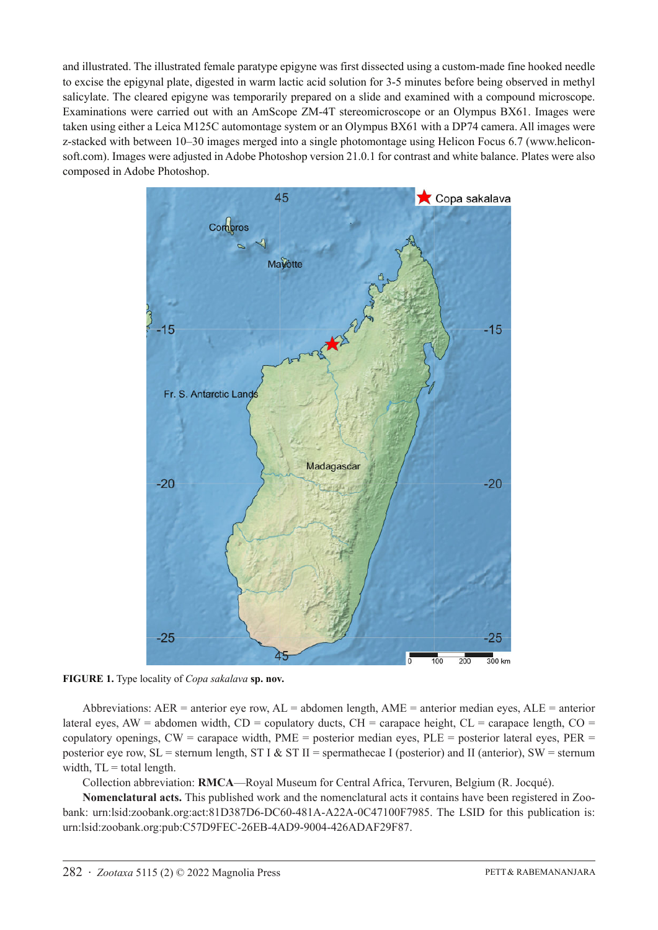and illustrated. The illustrated female paratype epigyne was first dissected using a custom-made fine hooked needle to excise the epigynal plate, digested in warm lactic acid solution for 3-5 minutes before being observed in methyl salicylate. The cleared epigyne was temporarily prepared on a slide and examined with a compound microscope. Examinations were carried out with an AmScope ZM-4T stereomicroscope or an Olympus BX61. Images were taken using either a Leica M125C automontage system or an Olympus BX61 with a DP74 camera. All images were z-stacked with between 10–30 images merged into a single photomontage using Helicon Focus 6.7 (www.heliconsoft.com). Images were adjusted in Adobe Photoshop version 21.0.1 for contrast and white balance. Plates were also composed in Adobe Photoshop.



**FIGURE 1.** Type locality of *Copa sakalava* **sp. nov.**

Abbreviations:  $AER$  = anterior eye row,  $AL$  = abdomen length,  $AME$  = anterior median eyes,  $ALE$  = anterior lateral eyes,  $AW =$  abdomen width,  $CD =$  copulatory ducts,  $CH =$  carapace height,  $CL =$  carapace length,  $CO =$ copulatory openings, CW = carapace width, PME = posterior median eyes, PLE = posterior lateral eyes, PER = posterior eye row,  $SL =$  sternum length,  $ST I & ST II =$  spermathecae I (posterior) and II (anterior),  $SW =$  sternum width,  $TL = total length$ .

Collection abbreviation: **RMCA**—Royal Museum for Central Africa, Tervuren, Belgium (R. Jocqué).

**Nomenclatural acts.** This published work and the nomenclatural acts it contains have been registered in Zoobank: urn:lsid:zoobank.org:act:81D387D6-DC60-481A-A22A-0C47100F7985. The LSID for this publication is: urn:lsid:zoobank.org:pub:C57D9FEC-26EB-4AD9-9004-426ADAF29F87.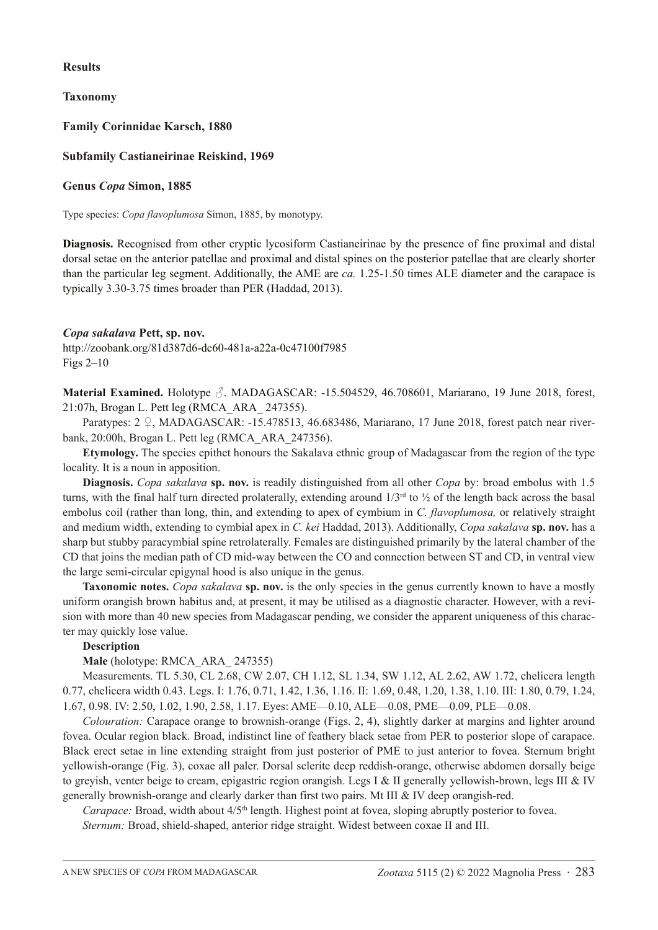# **Results**

**Taxonomy**

**Family Corinnidae Karsch, 1880**

# **Subfamily Castianeirinae Reiskind, 1969**

# **Genus** *Copa* **Simon, 1885**

Type species: *Copa flavoplumosa* Simon, 1885, by monotypy.

**Diagnosis.** Recognised from other cryptic lycosiform Castianeirinae by the presence of fine proximal and distal dorsal setae on the anterior patellae and proximal and distal spines on the posterior patellae that are clearly shorter than the particular leg segment. Additionally, the AME are *ca.* 1.25-1.50 times ALE diameter and the carapace is typically 3.30-3.75 times broader than PER (Haddad, 2013).

## *Copa sakalava* **Pett, sp. nov.**

http://zoobank.org/81d387d6-dc60-481a-a22a-0c47100f7985 Figs 2–10

**Material Examined.** Holotype ♂. MADAGASCAR: -15.504529, 46.708601, Mariarano, 19 June 2018, forest, 21:07h, Brogan L. Pett leg (RMCA\_ARA\_ 247355).

Paratypes: 2 ♀, MADAGASCAR: -15.478513, 46.683486, Mariarano, 17 June 2018, forest patch near riverbank, 20:00h, Brogan L. Pett leg (RMCA\_ARA\_247356).

**Etymology.** The species epithet honours the Sakalava ethnic group of Madagascar from the region of the type locality. It is a noun in apposition.

**Diagnosis.** *Copa sakalava* **sp. nov.** is readily distinguished from all other *Copa* by: broad embolus with 1.5 turns, with the final half turn directed prolaterally, extending around  $1/3<sup>rd</sup>$  to  $\frac{1}{2}$  of the length back across the basal embolus coil (rather than long, thin, and extending to apex of cymbium in *C. flavoplumosa,* or relatively straight and medium width, extending to cymbial apex in *C. kei* Haddad, 2013). Additionally, *Copa sakalava* **sp. nov.** has a sharp but stubby paracymbial spine retrolaterally. Females are distinguished primarily by the lateral chamber of the CD that joins the median path of CD mid-way between the CO and connection between ST and CD, in ventral view the large semi-circular epigynal hood is also unique in the genus.

**Taxonomic notes.** *Copa sakalava* sp. nov. is the only species in the genus currently known to have a mostly uniform orangish brown habitus and, at present, it may be utilised as a diagnostic character. However, with a revision with more than 40 new species from Madagascar pending, we consider the apparent uniqueness of this character may quickly lose value.

## **Description**

**Male** (holotype: RMCA\_ARA\_ 247355)

Measurements. TL 5.30, CL 2.68, CW 2.07, CH 1.12, SL 1.34, SW 1.12, AL 2.62, AW 1.72, chelicera length 0.77, chelicera width 0.43. Legs. I: 1.76, 0.71, 1.42, 1.36, 1.16. II: 1.69, 0.48, 1.20, 1.38, 1.10. III: 1.80, 0.79, 1.24, 1.67, 0.98. IV: 2.50, 1.02, 1.90, 2.58, 1.17. Eyes: AME—0.10, ALE—0.08, PME—0.09, PLE—0.08.

*Colouration:* Carapace orange to brownish-orange (Figs. 2, 4), slightly darker at margins and lighter around fovea. Ocular region black. Broad, indistinct line of feathery black setae from PER to posterior slope of carapace. Black erect setae in line extending straight from just posterior of PME to just anterior to fovea. Sternum bright yellowish-orange (Fig. 3), coxae all paler. Dorsal sclerite deep reddish-orange, otherwise abdomen dorsally beige to greyish, venter beige to cream, epigastric region orangish. Legs I & II generally yellowish-brown, legs III & IV generally brownish-orange and clearly darker than first two pairs. Mt III & IV deep orangish-red.

*Carapace:* Broad, width about  $4/5<sup>th</sup>$  length. Highest point at fovea, sloping abruptly posterior to fovea.

*Sternum:* Broad, shield-shaped, anterior ridge straight. Widest between coxae II and III.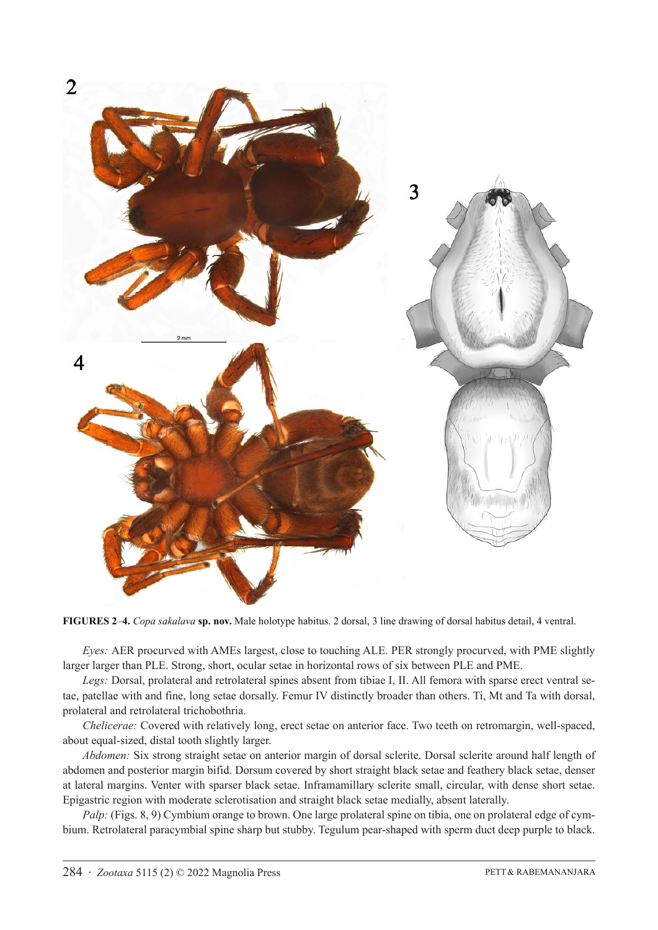

**FIGURES 2**–**4.** *Copa sakalava* **sp. nov.** Male holotype habitus. 2 dorsal, 3 line drawing of dorsal habitus detail, 4 ventral.

*Eyes:* AER procurved with AMEs largest, close to touching ALE. PER strongly procurved, with PME slightly larger larger than PLE. Strong, short, ocular setae in horizontal rows of six between PLE and PME.

*Legs:* Dorsal, prolateral and retrolateral spines absent from tibiae I, II. All femora with sparse erect ventral setae, patellae with and fine, long setae dorsally. Femur IV distinctly broader than others. Ti, Mt and Ta with dorsal, prolateral and retrolateral trichobothria.

*Chelicerae:* Covered with relatively long, erect setae on anterior face. Two teeth on retromargin, well-spaced, about equal-sized, distal tooth slightly larger.

*Abdomen:* Six strong straight setae on anterior margin of dorsal sclerite. Dorsal sclerite around half length of abdomen and posterior margin bifid. Dorsum covered by short straight black setae and feathery black setae, denser at lateral margins. Venter with sparser black setae. Inframamillary sclerite small, circular, with dense short setae. Epigastric region with moderate sclerotisation and straight black setae medially, absent laterally.

*Palp:* (Figs. 8, 9) Cymbium orange to brown. One large prolateral spine on tibia, one on prolateral edge of cymbium. Retrolateral paracymbial spine sharp but stubby. Tegulum pear-shaped with sperm duct deep purple to black.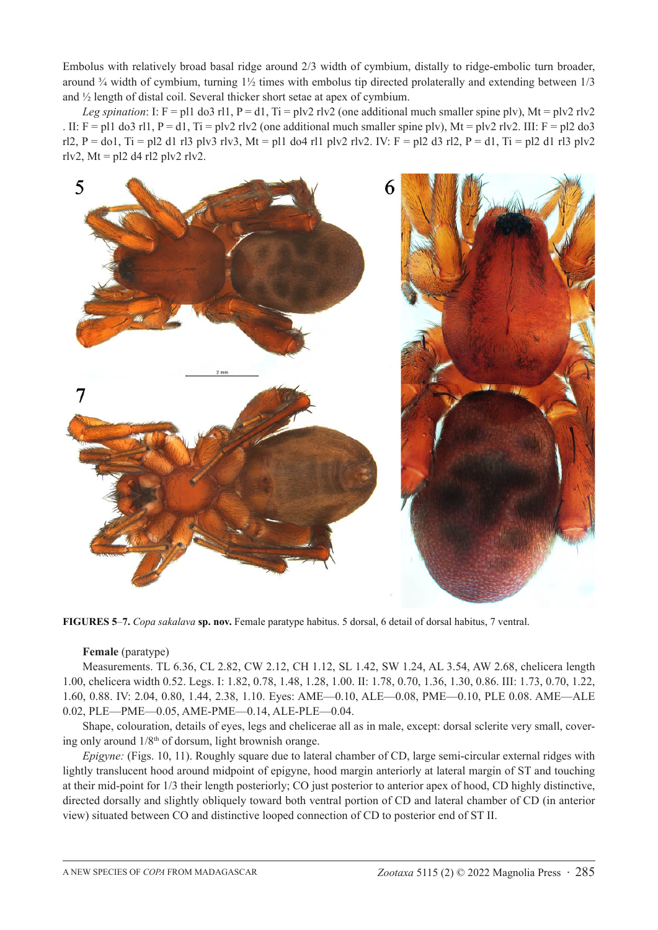Embolus with relatively broad basal ridge around 2/3 width of cymbium, distally to ridge-embolic turn broader, around  $\frac{3}{4}$  width of cymbium, turning  $1\frac{1}{2}$  times with embolus tip directed prolaterally and extending between  $1/3$ and ½ length of distal coil. Several thicker short setae at apex of cymbium.

*Leg spination*: I: F = pl1 do3 rl1, P = d1, Ti = plv2 rlv2 (one additional much smaller spine plv), Mt = plv2 rlv2 . II:  $F = p11$  do3 rl1,  $P = d1$ ,  $Ti = p1v2$  rlv2 (one additional much smaller spine plv),  $Mt = p1v2$  rlv2. III:  $F = p12$  do3 rl2, P = do1, Ti = pl2 d1 rl3 plv3 rlv3, Mt = pl1 do4 rl1 plv2 rlv2. IV: F = pl2 d3 rl2, P = d1, Ti = pl2 d1 rl3 plv2 rlv2, Mt = pl2 d4 rl2 plv2 rlv2.



**FIGURES 5**–**7.** *Copa sakalava* **sp. nov.** Female paratype habitus. 5 dorsal, 6 detail of dorsal habitus, 7 ventral.

#### **Female** (paratype)

Measurements. TL 6.36, CL 2.82, CW 2.12, CH 1.12, SL 1.42, SW 1.24, AL 3.54, AW 2.68, chelicera length 1.00, chelicera width 0.52. Legs. I: 1.82, 0.78, 1.48, 1.28, 1.00. II: 1.78, 0.70, 1.36, 1.30, 0.86. III: 1.73, 0.70, 1.22, 1.60, 0.88. IV: 2.04, 0.80, 1.44, 2.38, 1.10. Eyes: AME—0.10, ALE—0.08, PME—0.10, PLE 0.08. AME—ALE 0.02, PLE—PME—0.05, AME-PME—0.14, ALE-PLE—0.04.

Shape, colouration, details of eyes, legs and chelicerae all as in male, except: dorsal sclerite very small, covering only around  $1/8<sup>th</sup>$  of dorsum, light brownish orange.

*Epigyne:* (Figs. 10, 11). Roughly square due to lateral chamber of CD, large semi-circular external ridges with lightly translucent hood around midpoint of epigyne, hood margin anteriorly at lateral margin of ST and touching at their mid-point for 1/3 their length posteriorly; CO just posterior to anterior apex of hood, CD highly distinctive, directed dorsally and slightly obliquely toward both ventral portion of CD and lateral chamber of CD (in anterior view) situated between CO and distinctive looped connection of CD to posterior end of ST II.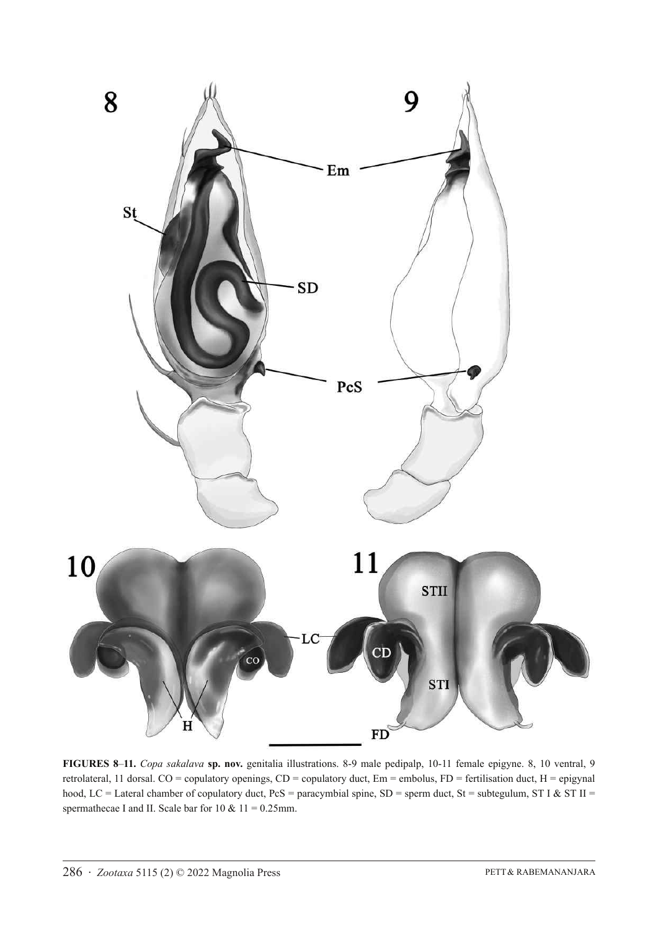

**FIGURES 8**–**11.** *Copa sakalava* **sp. nov.** genitalia illustrations. 8-9 male pedipalp, 10-11 female epigyne. 8, 10 ventral, 9 retrolateral, 11 dorsal. CO = copulatory openings, CD = copulatory duct, Em = embolus, FD = fertilisation duct, H = epigynal hood, LC = Lateral chamber of copulatory duct,  $PcS =$  paracymbial spine, SD = sperm duct, St = subtegulum, ST I & ST II = spermathecae I and II. Scale bar for  $10 \& 11 = 0.25$ mm.